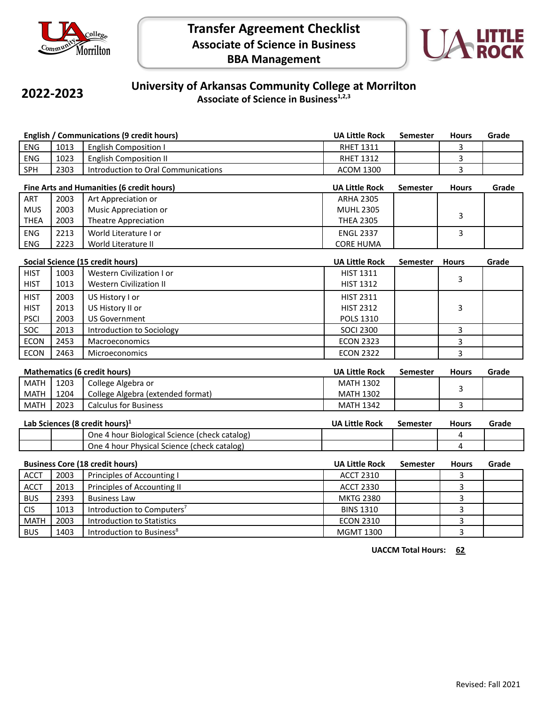



## **2022-2023**

## **University of Arkansas Community College at Morrilton Associate of Science in Business1,2,3**

| <b>English / Communications (9 credit hours)</b> |      |                                               | <b>UA Little Rock</b> | <b>Semester</b> | <b>Hours</b>   | Grade |  |
|--------------------------------------------------|------|-----------------------------------------------|-----------------------|-----------------|----------------|-------|--|
| ENG                                              | 1013 | <b>English Composition I</b>                  | <b>RHET 1311</b>      |                 | 3              |       |  |
| <b>ENG</b>                                       | 1023 | <b>English Composition II</b>                 | <b>RHET 1312</b>      |                 | 3              |       |  |
| SPH                                              | 2303 | Introduction to Oral Communications           | <b>ACOM 1300</b>      |                 | 3              |       |  |
| Fine Arts and Humanities (6 credit hours)        |      |                                               | <b>UA Little Rock</b> | <b>Semester</b> | <b>Hours</b>   | Grade |  |
| ART                                              | 2003 | Art Appreciation or                           | <b>ARHA 2305</b>      |                 |                |       |  |
| <b>MUS</b>                                       | 2003 | Music Appreciation or                         | <b>MUHL 2305</b>      |                 |                |       |  |
| <b>THEA</b>                                      | 2003 | <b>Theatre Appreciation</b>                   | <b>THEA 2305</b>      |                 | 3              |       |  |
| <b>ENG</b>                                       | 2213 | World Literature I or                         | <b>ENGL 2337</b>      |                 | $\overline{3}$ |       |  |
| <b>ENG</b>                                       | 2223 | World Literature II                           | <b>CORE HUMA</b>      |                 |                |       |  |
| Social Science (15 credit hours)                 |      |                                               | <b>UA Little Rock</b> | <b>Semester</b> | <b>Hours</b>   | Grade |  |
| <b>HIST</b>                                      | 1003 | Western Civilization I or                     | <b>HIST 1311</b>      |                 |                |       |  |
| <b>HIST</b>                                      | 1013 | <b>Western Civilization II</b>                | <b>HIST 1312</b>      |                 | 3              |       |  |
| <b>HIST</b>                                      | 2003 | US History I or                               | <b>HIST 2311</b>      |                 |                |       |  |
| <b>HIST</b>                                      | 2013 | US History II or                              | <b>HIST 2312</b>      |                 | 3              |       |  |
| <b>PSCI</b>                                      | 2003 | <b>US Government</b>                          | POLS 1310             |                 |                |       |  |
| SOC                                              | 2013 | Introduction to Sociology                     | <b>SOCI 2300</b>      |                 | 3              |       |  |
| <b>ECON</b>                                      | 2453 | Macroeconomics                                | <b>ECON 2323</b>      |                 | 3              |       |  |
| <b>ECON</b>                                      | 2463 | Microeconomics                                | <b>ECON 2322</b>      |                 | 3              |       |  |
|                                                  |      |                                               |                       |                 |                |       |  |
|                                                  |      | <b>Mathematics (6 credit hours)</b>           | <b>UA Little Rock</b> | <b>Semester</b> | <b>Hours</b>   | Grade |  |
| <b>MATH</b>                                      | 1203 | College Algebra or                            | <b>MATH 1302</b>      |                 | 3              |       |  |
| <b>MATH</b>                                      | 1204 | College Algebra (extended format)             | <b>MATH 1302</b>      |                 |                |       |  |
| <b>MATH</b>                                      | 2023 | <b>Calculus for Business</b>                  | <b>MATH 1342</b>      |                 | 3              |       |  |
| Lab Sciences (8 credit hours) <sup>1</sup>       |      |                                               | <b>UA Little Rock</b> | <b>Semester</b> | <b>Hours</b>   | Grade |  |
|                                                  |      | One 4 hour Biological Science (check catalog) |                       |                 | 4              |       |  |
|                                                  |      | One 4 hour Physical Science (check catalog)   |                       |                 | 4              |       |  |
| <b>Business Core (18 credit hours)</b>           |      |                                               | <b>UA Little Rock</b> | Semester        | <b>Hours</b>   | Grade |  |
| <b>ACCT</b>                                      | 2003 | Principles of Accounting I                    | <b>ACCT 2310</b>      |                 | 3              |       |  |
| <b>ACCT</b>                                      | 2013 | Principles of Accounting II                   | <b>ACCT 2330</b>      |                 | 3              |       |  |
| <b>BUS</b>                                       | 2393 | <b>Business Law</b>                           | <b>MKTG 2380</b>      |                 | 3              |       |  |
| <b>CIS</b>                                       | 1013 | Introduction to Computers <sup>7</sup>        | <b>BINS 1310</b>      |                 | 3              |       |  |
| <b>MATH</b>                                      | 2003 | <b>Introduction to Statistics</b>             | <b>ECON 2310</b>      |                 | 3              |       |  |
| <b>BUS</b>                                       | 1403 | Introduction to Business <sup>8</sup>         | <b>MGMT 1300</b>      |                 | 3              |       |  |

**UACCM Total Hours: 62**